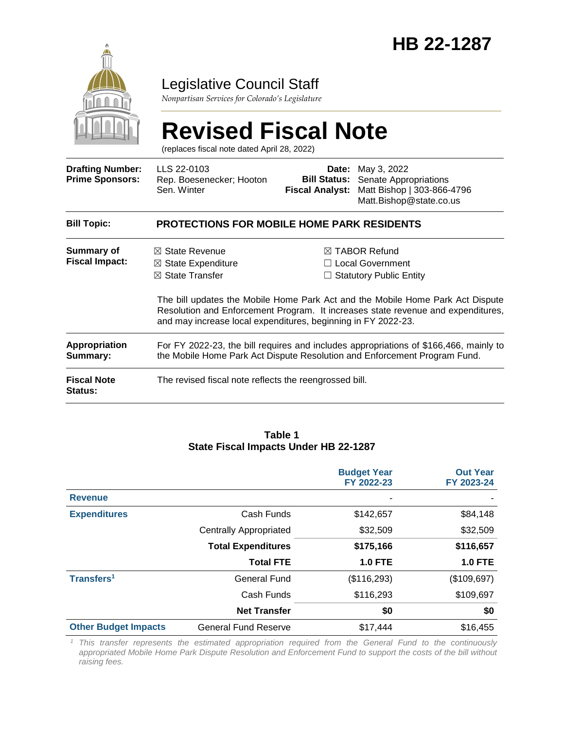

### Legislative Council Staff

*Nonpartisan Services for Colorado's Legislature*

# **Revised Fiscal Note**

(replaces fiscal note dated April 28, 2022)

| <b>Drafting Number:</b><br><b>Prime Sponsors:</b> | LLS 22-0103<br>Rep. Boesenecker; Hooton<br>Sen. Winter                                                                                                             |  | <b>Date:</b> May 3, 2022<br><b>Bill Status:</b> Senate Appropriations<br>Fiscal Analyst: Matt Bishop   303-866-4796<br>Matt.Bishop@state.co.us                                                                                                              |  |  |  |
|---------------------------------------------------|--------------------------------------------------------------------------------------------------------------------------------------------------------------------|--|-------------------------------------------------------------------------------------------------------------------------------------------------------------------------------------------------------------------------------------------------------------|--|--|--|
| <b>Bill Topic:</b>                                | <b>PROTECTIONS FOR MOBILE HOME PARK RESIDENTS</b>                                                                                                                  |  |                                                                                                                                                                                                                                                             |  |  |  |
| Summary of<br><b>Fiscal Impact:</b>               | $\boxtimes$ State Revenue<br>$\boxtimes$ State Expenditure<br>$\boxtimes$ State Transfer<br>and may increase local expenditures, beginning in FY 2022-23.          |  | $\boxtimes$ TABOR Refund<br>$\Box$ Local Government<br>$\Box$ Statutory Public Entity<br>The bill updates the Mobile Home Park Act and the Mobile Home Park Act Dispute<br>Resolution and Enforcement Program. It increases state revenue and expenditures, |  |  |  |
| <b>Appropriation</b><br>Summary:                  | For FY 2022-23, the bill requires and includes appropriations of \$166,466, mainly to<br>the Mobile Home Park Act Dispute Resolution and Enforcement Program Fund. |  |                                                                                                                                                                                                                                                             |  |  |  |
| <b>Fiscal Note</b><br>Status:                     | The revised fiscal note reflects the reengrossed bill.                                                                                                             |  |                                                                                                                                                                                                                                                             |  |  |  |

#### **Table 1 State Fiscal Impacts Under HB 22-1287**

|                             |                               | <b>Budget Year</b><br>FY 2022-23 | <b>Out Year</b><br>FY 2023-24 |
|-----------------------------|-------------------------------|----------------------------------|-------------------------------|
| <b>Revenue</b>              |                               |                                  |                               |
| <b>Expenditures</b>         | Cash Funds                    | \$142,657                        | \$84,148                      |
|                             | <b>Centrally Appropriated</b> | \$32,509                         | \$32,509                      |
|                             | <b>Total Expenditures</b>     | \$175,166                        | \$116,657                     |
|                             | <b>Total FTE</b>              | <b>1.0 FTE</b>                   | <b>1.0 FTE</b>                |
| Transfers <sup>1</sup>      | <b>General Fund</b>           | (\$116,293)                      | (\$109,697)                   |
|                             | Cash Funds                    | \$116,293                        | \$109,697                     |
|                             | <b>Net Transfer</b>           | \$0                              | \$0                           |
| <b>Other Budget Impacts</b> | <b>General Fund Reserve</b>   | \$17,444                         | \$16,455                      |

*<sup>1</sup> This transfer represents the estimated appropriation required from the General Fund to the continuously appropriated Mobile Home Park Dispute Resolution and Enforcement Fund to support the costs of the bill without raising fees.*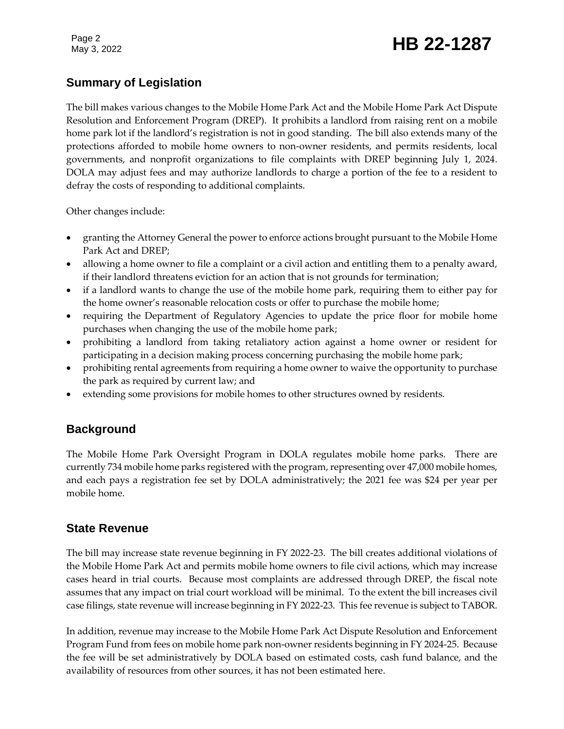#### **Summary of Legislation**

The bill makes various changes to the Mobile Home Park Act and the Mobile Home Park Act Dispute Resolution and Enforcement Program (DREP). It prohibits a landlord from raising rent on a mobile home park lot if the landlord's registration is not in good standing. The bill also extends many of the protections afforded to mobile home owners to non-owner residents, and permits residents, local governments, and nonprofit organizations to file complaints with DREP beginning July 1, 2024. DOLA may adjust fees and may authorize landlords to charge a portion of the fee to a resident to defray the costs of responding to additional complaints.

Other changes include:

- granting the Attorney General the power to enforce actions brought pursuant to the Mobile Home Park Act and DREP;
- allowing a home owner to file a complaint or a civil action and entitling them to a penalty award, if their landlord threatens eviction for an action that is not grounds for termination;
- if a landlord wants to change the use of the mobile home park, requiring them to either pay for the home owner's reasonable relocation costs or offer to purchase the mobile home;
- requiring the Department of Regulatory Agencies to update the price floor for mobile home purchases when changing the use of the mobile home park;
- prohibiting a landlord from taking retaliatory action against a home owner or resident for participating in a decision making process concerning purchasing the mobile home park;
- prohibiting rental agreements from requiring a home owner to waive the opportunity to purchase the park as required by current law; and
- extending some provisions for mobile homes to other structures owned by residents.

#### **Background**

The Mobile Home Park Oversight Program in DOLA regulates mobile home parks. There are currently 734 mobile home parks registered with the program, representing over 47,000 mobile homes, and each pays a registration fee set by DOLA administratively; the 2021 fee was \$24 per year per mobile home.

#### **State Revenue**

The bill may increase state revenue beginning in FY 2022-23. The bill creates additional violations of the Mobile Home Park Act and permits mobile home owners to file civil actions, which may increase cases heard in trial courts. Because most complaints are addressed through DREP, the fiscal note assumes that any impact on trial court workload will be minimal. To the extent the bill increases civil case filings, state revenue will increase beginning in FY 2022-23. This fee revenue is subject to TABOR.

In addition, revenue may increase to the Mobile Home Park Act Dispute Resolution and Enforcement Program Fund from fees on mobile home park non-owner residents beginning in FY 2024-25. Because the fee will be set administratively by DOLA based on estimated costs, cash fund balance, and the availability of resources from other sources, it has not been estimated here.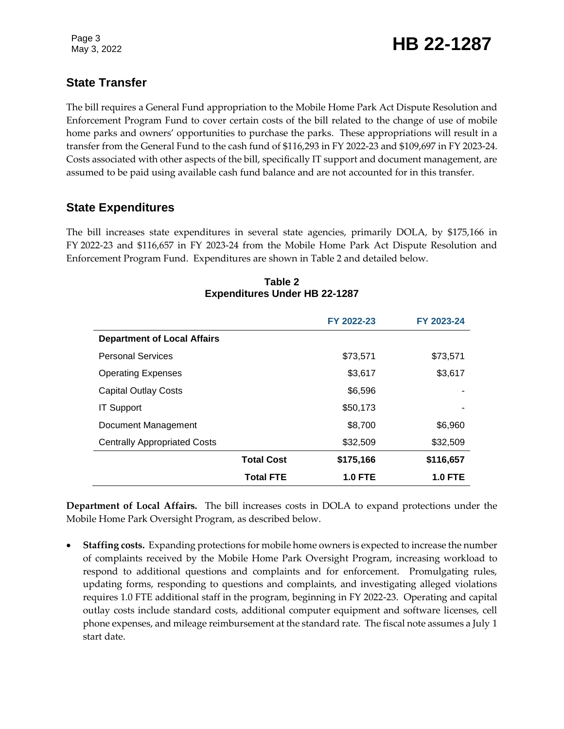Page 3

### Page 3<br>May 3, 2022 **HB 22-1287**

#### **State Transfer**

The bill requires a General Fund appropriation to the Mobile Home Park Act Dispute Resolution and Enforcement Program Fund to cover certain costs of the bill related to the change of use of mobile home parks and owners' opportunities to purchase the parks. These appropriations will result in a transfer from the General Fund to the cash fund of \$116,293 in FY 2022-23 and \$109,697 in FY 2023-24. Costs associated with other aspects of the bill, specifically IT support and document management, are assumed to be paid using available cash fund balance and are not accounted for in this transfer.

#### **State Expenditures**

The bill increases state expenditures in several state agencies, primarily DOLA, by \$175,166 in FY 2022-23 and \$116,657 in FY 2023-24 from the Mobile Home Park Act Dispute Resolution and Enforcement Program Fund. Expenditures are shown in Table 2 and detailed below.

|                                     |                   | FY 2022-23     | FY 2023-24     |
|-------------------------------------|-------------------|----------------|----------------|
| <b>Department of Local Affairs</b>  |                   |                |                |
| <b>Personal Services</b>            |                   | \$73,571       | \$73,571       |
| <b>Operating Expenses</b>           |                   | \$3,617        | \$3,617        |
| <b>Capital Outlay Costs</b>         |                   | \$6,596        |                |
| <b>IT Support</b>                   |                   | \$50,173       |                |
| Document Management                 |                   | \$8,700        | \$6,960        |
| <b>Centrally Appropriated Costs</b> |                   | \$32,509       | \$32,509       |
|                                     | <b>Total Cost</b> | \$175,166      | \$116,657      |
|                                     | <b>Total FTE</b>  | <b>1.0 FTE</b> | <b>1.0 FTE</b> |

#### **Table 2 Expenditures Under HB 22-1287**

**Department of Local Affairs.** The bill increases costs in DOLA to expand protections under the Mobile Home Park Oversight Program, as described below.

 **Staffing costs.** Expanding protections for mobile home owners is expected to increase the number of complaints received by the Mobile Home Park Oversight Program, increasing workload to respond to additional questions and complaints and for enforcement. Promulgating rules, updating forms, responding to questions and complaints, and investigating alleged violations requires 1.0 FTE additional staff in the program, beginning in FY 2022-23. Operating and capital outlay costs include standard costs, additional computer equipment and software licenses, cell phone expenses, and mileage reimbursement at the standard rate. The fiscal note assumes a July 1 start date.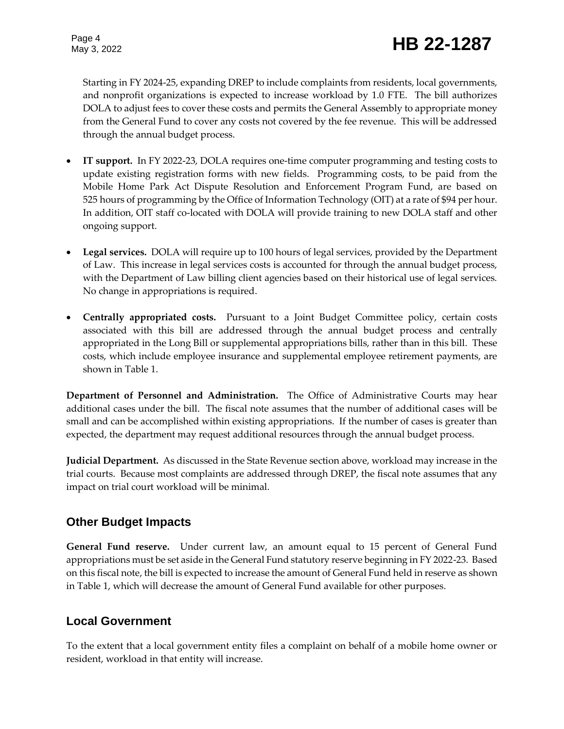## Page 4<br>May 3, 2022 **HB 22-1287**

Starting in FY 2024-25, expanding DREP to include complaints from residents, local governments, and nonprofit organizations is expected to increase workload by 1.0 FTE. The bill authorizes DOLA to adjust fees to cover these costs and permits the General Assembly to appropriate money from the General Fund to cover any costs not covered by the fee revenue. This will be addressed through the annual budget process.

- **IT support.** In FY 2022-23, DOLA requires one-time computer programming and testing costs to update existing registration forms with new fields. Programming costs, to be paid from the Mobile Home Park Act Dispute Resolution and Enforcement Program Fund, are based on 525 hours of programming by the Office of Information Technology (OIT) at a rate of \$94 per hour. In addition, OIT staff co-located with DOLA will provide training to new DOLA staff and other ongoing support.
- **Legal services.** DOLA will require up to 100 hours of legal services, provided by the Department of Law. This increase in legal services costs is accounted for through the annual budget process, with the Department of Law billing client agencies based on their historical use of legal services. No change in appropriations is required.
- **Centrally appropriated costs.** Pursuant to a Joint Budget Committee policy, certain costs associated with this bill are addressed through the annual budget process and centrally appropriated in the Long Bill or supplemental appropriations bills, rather than in this bill. These costs, which include employee insurance and supplemental employee retirement payments, are shown in Table 1.

**Department of Personnel and Administration.** The Office of Administrative Courts may hear additional cases under the bill. The fiscal note assumes that the number of additional cases will be small and can be accomplished within existing appropriations. If the number of cases is greater than expected, the department may request additional resources through the annual budget process.

**Judicial Department.** As discussed in the State Revenue section above, workload may increase in the trial courts. Because most complaints are addressed through DREP, the fiscal note assumes that any impact on trial court workload will be minimal.

#### **Other Budget Impacts**

**General Fund reserve.** Under current law, an amount equal to 15 percent of General Fund appropriations must be set aside in the General Fund statutory reserve beginning in FY 2022-23. Based on this fiscal note, the bill is expected to increase the amount of General Fund held in reserve as shown in Table 1, which will decrease the amount of General Fund available for other purposes.

#### **Local Government**

To the extent that a local government entity files a complaint on behalf of a mobile home owner or resident, workload in that entity will increase.